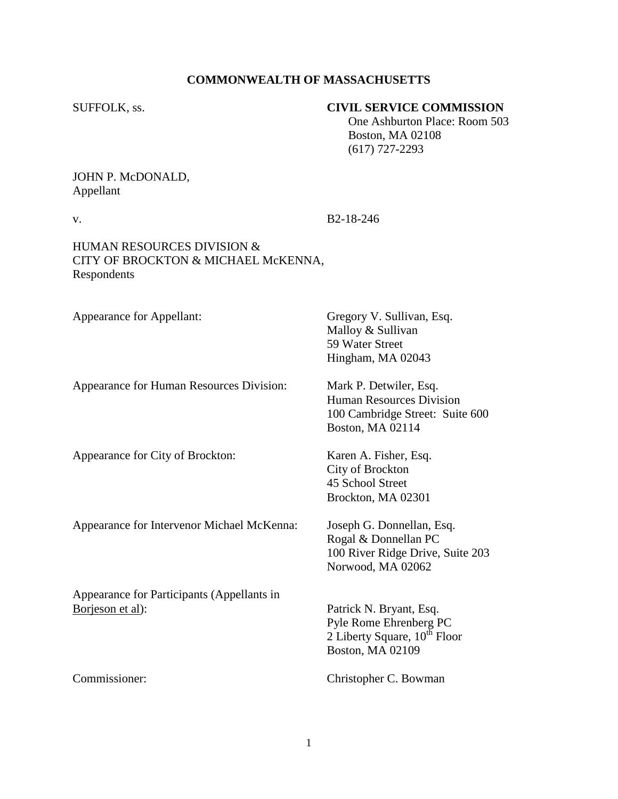### **COMMONWEALTH OF MASSACHUSETTS**

## SUFFOLK, ss. **CIVIL SERVICE COMMISSION**

 One Ashburton Place: Room 503 Boston, MA 02108 (617) 727-2293

# JOHN P. McDONALD, Appellant

v. B2-18-246

# HUMAN RESOURCES DIVISION & CITY OF BROCKTON & MICHAEL McKENNA, Respondents

Appearance for Appellant: Gregory V. Sullivan, Esq.

Appearance for Human Resources Division: Mark P. Detwiler, Esq.

Appearance for City of Brockton: Karen A. Fisher, Esq.

Appearance for Intervenor Michael McKenna: Joseph G. Donnellan, Esq.

Appearance for Participants (Appellants in Borjeson et al): Patrick N. Bryant, Esq.

Malloy & Sullivan 59 Water Street Hingham, MA 02043

Human Resources Division 100 Cambridge Street: Suite 600 Boston, MA 02114

City of Brockton 45 School Street Brockton, MA 02301

Rogal & Donnellan PC 100 River Ridge Drive, Suite 203 Norwood, MA 02062

Pyle Rome Ehrenberg PC 2 Liberty Square,  $10^{th}$  Floor Boston, MA 02109

Commissioner: Christopher C. Bowman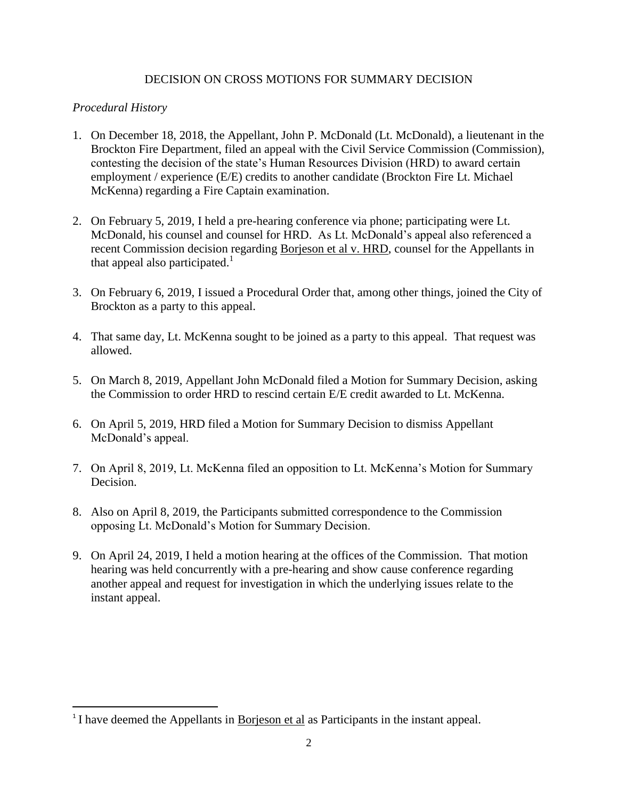# DECISION ON CROSS MOTIONS FOR SUMMARY DECISION

# *Procedural History*

- 1. On December 18, 2018, the Appellant, John P. McDonald (Lt. McDonald), a lieutenant in the Brockton Fire Department, filed an appeal with the Civil Service Commission (Commission), contesting the decision of the state's Human Resources Division (HRD) to award certain employment / experience (E/E) credits to another candidate (Brockton Fire Lt. Michael McKenna) regarding a Fire Captain examination.
- 2. On February 5, 2019, I held a pre-hearing conference via phone; participating were Lt. McDonald, his counsel and counsel for HRD. As Lt. McDonald's appeal also referenced a recent Commission decision regarding Borjeson et al v. HRD, counsel for the Appellants in that appeal also participated.<sup>1</sup>
- 3. On February 6, 2019, I issued a Procedural Order that, among other things, joined the City of Brockton as a party to this appeal.
- 4. That same day, Lt. McKenna sought to be joined as a party to this appeal. That request was allowed.
- 5. On March 8, 2019, Appellant John McDonald filed a Motion for Summary Decision, asking the Commission to order HRD to rescind certain E/E credit awarded to Lt. McKenna.
- 6. On April 5, 2019, HRD filed a Motion for Summary Decision to dismiss Appellant McDonald's appeal.
- 7. On April 8, 2019, Lt. McKenna filed an opposition to Lt. McKenna's Motion for Summary Decision.
- 8. Also on April 8, 2019, the Participants submitted correspondence to the Commission opposing Lt. McDonald's Motion for Summary Decision.
- 9. On April 24, 2019, I held a motion hearing at the offices of the Commission. That motion hearing was held concurrently with a pre-hearing and show cause conference regarding another appeal and request for investigation in which the underlying issues relate to the instant appeal.

<sup>&</sup>lt;sup>1</sup> I have deemed the Appellants in <u>Borjeson et al</u> as Participants in the instant appeal.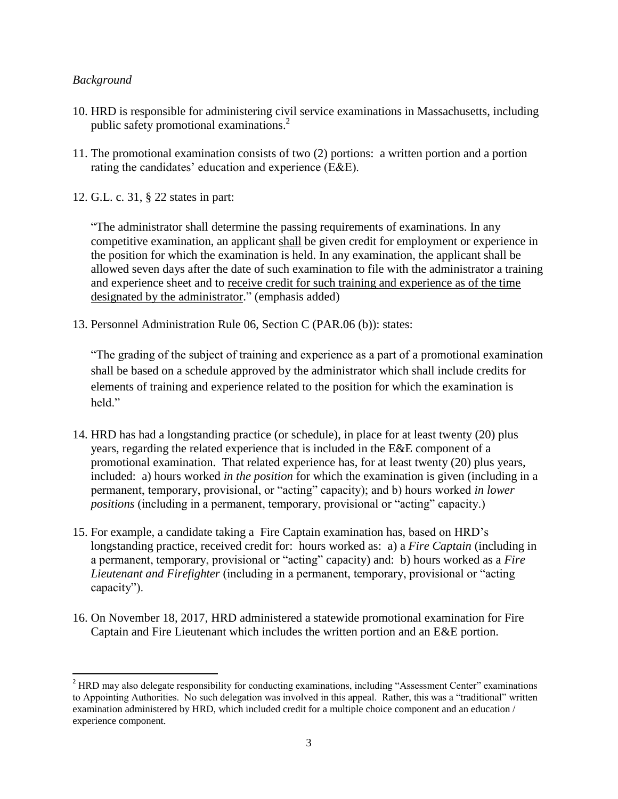# *Background*

 $\overline{\phantom{a}}$ 

- 10. HRD is responsible for administering civil service examinations in Massachusetts, including public safety promotional examinations. $<sup>2</sup>$ </sup>
- 11. The promotional examination consists of two (2) portions: a written portion and a portion rating the candidates' education and experience (E&E).
- 12. G.L. c. 31, § 22 states in part:

"The administrator shall determine the passing requirements of examinations. In any competitive examination, an applicant shall be given credit for employment or experience in the position for which the examination is held. In any examination, the applicant shall be allowed seven days after the date of such examination to file with the administrator a training and experience sheet and to receive credit for such training and experience as of the time designated by the administrator." (emphasis added)

13. Personnel Administration Rule 06, Section C (PAR.06 (b)): states:

"The grading of the subject of training and experience as a part of a promotional examination shall be based on a schedule approved by the administrator which shall include credits for elements of training and experience related to the position for which the examination is held."

- 14. HRD has had a longstanding practice (or schedule), in place for at least twenty (20) plus years, regarding the related experience that is included in the E&E component of a promotional examination. That related experience has, for at least twenty (20) plus years, included: a) hours worked *in the position* for which the examination is given (including in a permanent, temporary, provisional, or "acting" capacity); and b) hours worked *in lower positions* (including in a permanent, temporary, provisional or "acting" capacity.)
- 15. For example, a candidate taking a Fire Captain examination has, based on HRD's longstanding practice, received credit for: hours worked as: a) a *Fire Captain* (including in a permanent, temporary, provisional or "acting" capacity) and: b) hours worked as a *Fire Lieutenant and Firefighter* (including in a permanent, temporary, provisional or "acting capacity").
- 16. On November 18, 2017, HRD administered a statewide promotional examination for Fire Captain and Fire Lieutenant which includes the written portion and an E&E portion.

<sup>&</sup>lt;sup>2</sup> HRD may also delegate responsibility for conducting examinations, including "Assessment Center" examinations to Appointing Authorities. No such delegation was involved in this appeal. Rather, this was a "traditional" written examination administered by HRD, which included credit for a multiple choice component and an education / experience component.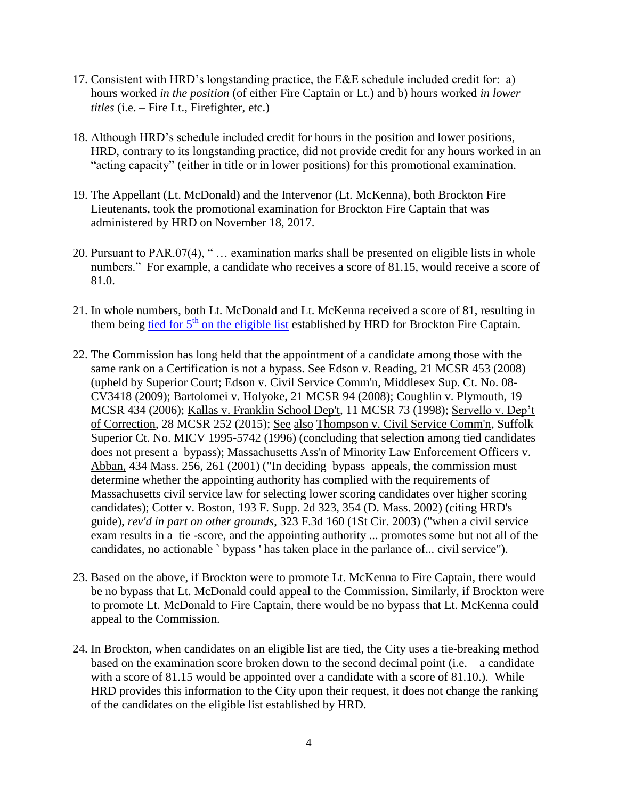- 17. Consistent with HRD's longstanding practice, the E&E schedule included credit for: a) hours worked *in the position* (of either Fire Captain or Lt.) and b) hours worked *in lower titles* (i.e. – Fire Lt., Firefighter, etc.)
- 18. Although HRD's schedule included credit for hours in the position and lower positions, HRD, contrary to its longstanding practice, did not provide credit for any hours worked in an "acting capacity" (either in title or in lower positions) for this promotional examination.
- 19. The Appellant (Lt. McDonald) and the Intervenor (Lt. McKenna), both Brockton Fire Lieutenants, took the promotional examination for Brockton Fire Captain that was administered by HRD on November 18, 2017.
- 20. Pursuant to PAR.07(4), " … examination marks shall be presented on eligible lists in whole numbers." For example, a candidate who receives a score of 81.15, would receive a score of 81.0.
- 21. In whole numbers, both Lt. McDonald and Lt. McKenna received a score of 81, resulting in them being tied for  $5<sup>th</sup>$  [on the eligible list](https://www.csexam.hrd.state.ma.us/eligiblelist/eligiblelistpromo.aspx?ListId=10&Location_Id=48&referrer=https%3a%2f%2fwww.csexam.hrd.state.ma.us%2feligiblelist%2fcommunities.aspx%3fListTypeId%3d2%26ListId%3d10&name=Fire+Communities+Promotional+Lists) established by HRD for Brockton Fire Captain.
- 22. The Commission has long held that the appointment of a candidate among those with the same rank on a Certification is not a bypass. See Edson v. Reading, 21 MCSR 453 (2008) (upheld by Superior Court; Edson v. Civil Service Comm'n, Middlesex Sup. Ct. No. 08- CV3418 (2009); Bartolomei v. Holyoke, 21 MCSR 94 (2008); Coughlin v. Plymouth, 19 MCSR 434 (2006); Kallas v. Franklin School Dep't, 11 MCSR 73 (1998); Servello v. Dep't of Correction, 28 MCSR 252 (2015); See also Thompson v. Civil Service Comm'n, Suffolk Superior Ct. No. MICV 1995-5742 (1996) (concluding that selection among tied candidates does not present a bypass); Massachusetts Ass'n of Minority Law Enforcement Officers v. Abban, 434 Mass. 256, 261 (2001) ("In deciding bypass appeals, the commission must determine whether the appointing authority has complied with the requirements of Massachusetts civil service law for selecting lower scoring candidates over higher scoring candidates); Cotter v. Boston, 193 F. Supp. 2d 323, 354 (D. Mass. 2002) (citing HRD's guide), *rev'd in part on other grounds*, 323 F.3d 160 (1St Cir. 2003) ("when a civil service exam results in a tie -score, and the appointing authority ... promotes some but not all of the candidates, no actionable ` bypass ' has taken place in the parlance of... civil service").
- 23. Based on the above, if Brockton were to promote Lt. McKenna to Fire Captain, there would be no bypass that Lt. McDonald could appeal to the Commission. Similarly, if Brockton were to promote Lt. McDonald to Fire Captain, there would be no bypass that Lt. McKenna could appeal to the Commission.
- 24. In Brockton, when candidates on an eligible list are tied, the City uses a tie-breaking method based on the examination score broken down to the second decimal point (i.e. – a candidate with a score of 81.15 would be appointed over a candidate with a score of 81.10.). While HRD provides this information to the City upon their request, it does not change the ranking of the candidates on the eligible list established by HRD.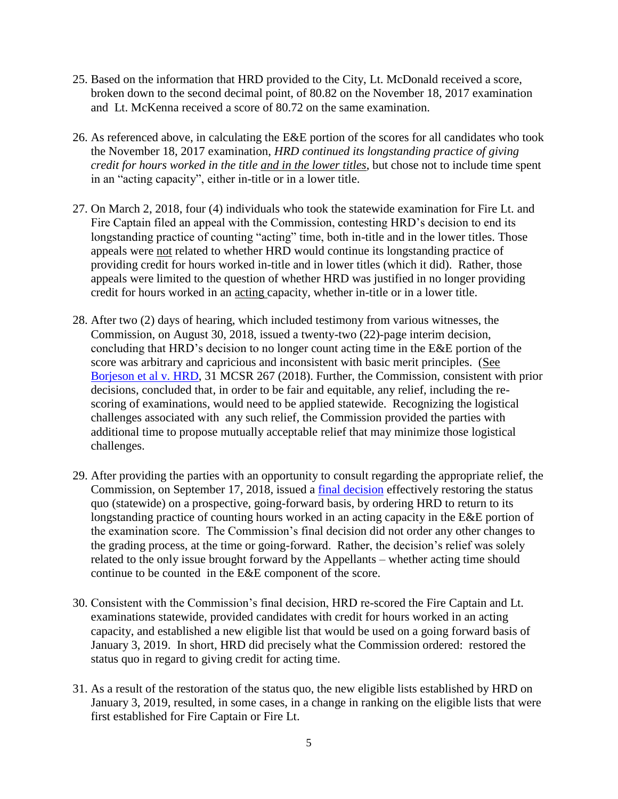- 25. Based on the information that HRD provided to the City, Lt. McDonald received a score, broken down to the second decimal point, of 80.82 on the November 18, 2017 examination and Lt. McKenna received a score of 80.72 on the same examination.
- 26. As referenced above, in calculating the E&E portion of the scores for all candidates who took the November 18, 2017 examination, *HRD continued its longstanding practice of giving credit for hours worked in the title and in the lower titles*, but chose not to include time spent in an "acting capacity", either in-title or in a lower title.
- 27. On March 2, 2018, four (4) individuals who took the statewide examination for Fire Lt. and Fire Captain filed an appeal with the Commission, contesting HRD's decision to end its longstanding practice of counting "acting" time, both in-title and in the lower titles. Those appeals were not related to whether HRD would continue its longstanding practice of providing credit for hours worked in-title and in lower titles (which it did). Rather, those appeals were limited to the question of whether HRD was justified in no longer providing credit for hours worked in an acting capacity, whether in-title or in a lower title.
- 28. After two (2) days of hearing, which included testimony from various witnesses, the Commission, on August 30, 2018, issued a twenty-two (22)-page interim decision, concluding that HRD's decision to no longer count acting time in the E&E portion of the score was arbitrary and capricious and inconsistent with basic merit principles. (See [Borjeson et al v. HRD,](https://www.mass.gov/files/documents/2018/08/31/borjeson_etal_083018.pdf) 31 MCSR 267 (2018). Further, the Commission, consistent with prior decisions, concluded that, in order to be fair and equitable, any relief, including the rescoring of examinations, would need to be applied statewide. Recognizing the logistical challenges associated with any such relief, the Commission provided the parties with additional time to propose mutually acceptable relief that may minimize those logistical challenges.
- 29. After providing the parties with an opportunity to consult regarding the appropriate relief, the Commission, on September 17, 2018, issued a [final decision](https://www.mass.gov/files/documents/2018/09/21/borjeson_etal_092018.pdf) effectively restoring the status quo (statewide) on a prospective, going-forward basis, by ordering HRD to return to its longstanding practice of counting hours worked in an acting capacity in the E&E portion of the examination score. The Commission's final decision did not order any other changes to the grading process, at the time or going-forward. Rather, the decision's relief was solely related to the only issue brought forward by the Appellants – whether acting time should continue to be counted in the E&E component of the score.
- 30. Consistent with the Commission's final decision, HRD re-scored the Fire Captain and Lt. examinations statewide, provided candidates with credit for hours worked in an acting capacity, and established a new eligible list that would be used on a going forward basis of January 3, 2019. In short, HRD did precisely what the Commission ordered: restored the status quo in regard to giving credit for acting time.
- 31. As a result of the restoration of the status quo, the new eligible lists established by HRD on January 3, 2019, resulted, in some cases, in a change in ranking on the eligible lists that were first established for Fire Captain or Fire Lt.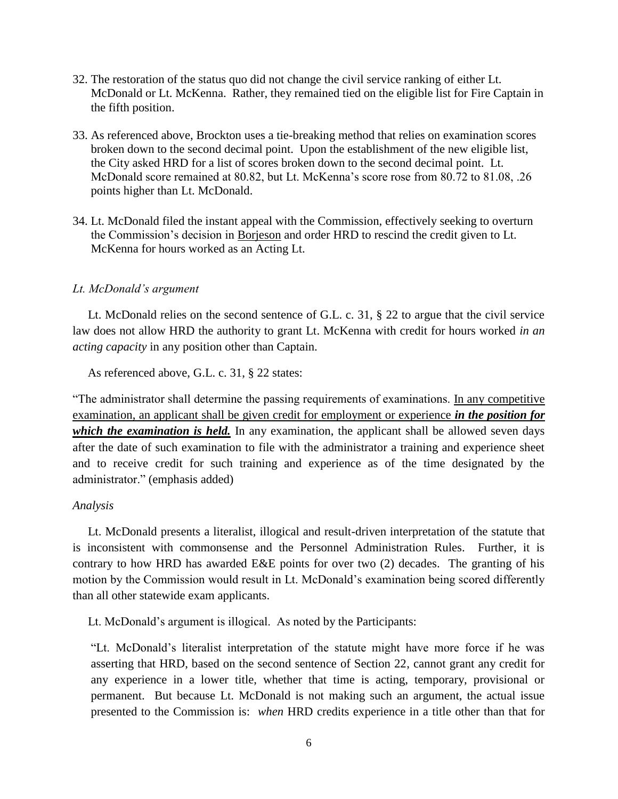- 32. The restoration of the status quo did not change the civil service ranking of either Lt. McDonald or Lt. McKenna. Rather, they remained tied on the eligible list for Fire Captain in the fifth position.
- 33. As referenced above, Brockton uses a tie-breaking method that relies on examination scores broken down to the second decimal point. Upon the establishment of the new eligible list, the City asked HRD for a list of scores broken down to the second decimal point. Lt. McDonald score remained at 80.82, but Lt. McKenna's score rose from 80.72 to 81.08, .26 points higher than Lt. McDonald.
- 34. Lt. McDonald filed the instant appeal with the Commission, effectively seeking to overturn the Commission's decision in Borjeson and order HRD to rescind the credit given to Lt. McKenna for hours worked as an Acting Lt.

#### *Lt. McDonald's argument*

 Lt. McDonald relies on the second sentence of G.L. c. 31, § 22 to argue that the civil service law does not allow HRD the authority to grant Lt. McKenna with credit for hours worked *in an acting capacity* in any position other than Captain.

As referenced above, G.L. c. 31, § 22 states:

"The administrator shall determine the passing requirements of examinations. In any competitive examination, an applicant shall be given credit for employment or experience *in the position for which the examination is held.* In any examination, the applicant shall be allowed seven days after the date of such examination to file with the administrator a training and experience sheet and to receive credit for such training and experience as of the time designated by the administrator." (emphasis added)

#### *Analysis*

 Lt. McDonald presents a literalist, illogical and result-driven interpretation of the statute that is inconsistent with commonsense and the Personnel Administration Rules. Further, it is contrary to how HRD has awarded E&E points for over two (2) decades. The granting of his motion by the Commission would result in Lt. McDonald's examination being scored differently than all other statewide exam applicants.

Lt. McDonald's argument is illogical. As noted by the Participants:

"Lt. McDonald's literalist interpretation of the statute might have more force if he was asserting that HRD, based on the second sentence of Section 22, cannot grant any credit for any experience in a lower title, whether that time is acting, temporary, provisional or permanent. But because Lt. McDonald is not making such an argument, the actual issue presented to the Commission is: *when* HRD credits experience in a title other than that for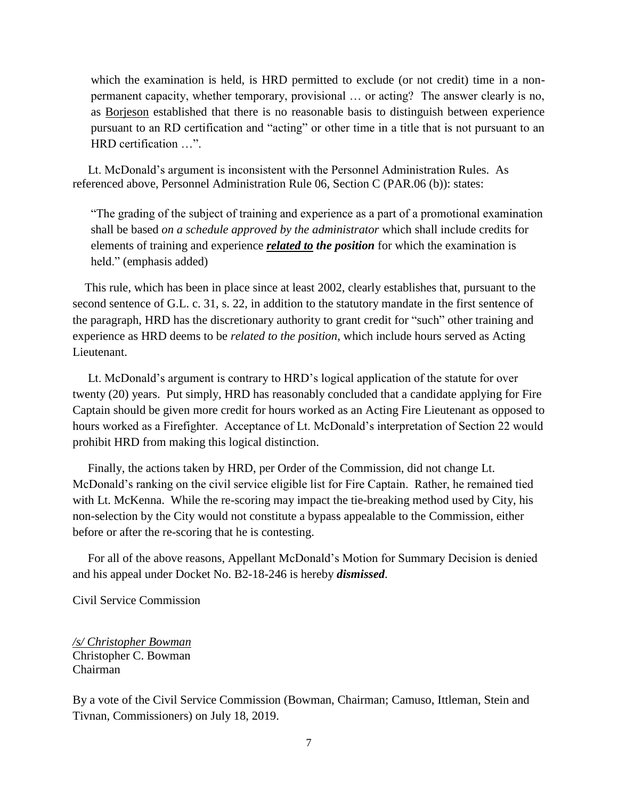which the examination is held, is HRD permitted to exclude (or not credit) time in a nonpermanent capacity, whether temporary, provisional … or acting? The answer clearly is no, as Borjeson established that there is no reasonable basis to distinguish between experience pursuant to an RD certification and "acting" or other time in a title that is not pursuant to an HRD certification …".

 Lt. McDonald's argument is inconsistent with the Personnel Administration Rules. As referenced above, Personnel Administration Rule 06, Section C (PAR.06 (b)): states:

"The grading of the subject of training and experience as a part of a promotional examination shall be based *on a schedule approved by the administrator* which shall include credits for elements of training and experience *related to the position* for which the examination is held." (emphasis added)

 This rule, which has been in place since at least 2002, clearly establishes that, pursuant to the second sentence of G.L. c. 31, s. 22, in addition to the statutory mandate in the first sentence of the paragraph, HRD has the discretionary authority to grant credit for "such" other training and experience as HRD deems to be *related to the position*, which include hours served as Acting Lieutenant.

 Lt. McDonald's argument is contrary to HRD's logical application of the statute for over twenty (20) years. Put simply, HRD has reasonably concluded that a candidate applying for Fire Captain should be given more credit for hours worked as an Acting Fire Lieutenant as opposed to hours worked as a Firefighter. Acceptance of Lt. McDonald's interpretation of Section 22 would prohibit HRD from making this logical distinction.

 Finally, the actions taken by HRD, per Order of the Commission, did not change Lt. McDonald's ranking on the civil service eligible list for Fire Captain. Rather, he remained tied with Lt. McKenna. While the re-scoring may impact the tie-breaking method used by City, his non-selection by the City would not constitute a bypass appealable to the Commission, either before or after the re-scoring that he is contesting.

 For all of the above reasons, Appellant McDonald's Motion for Summary Decision is denied and his appeal under Docket No. B2-18-246 is hereby *dismissed*.

Civil Service Commission

*/s/ Christopher Bowman* Christopher C. Bowman Chairman

By a vote of the Civil Service Commission (Bowman, Chairman; Camuso, Ittleman, Stein and Tivnan, Commissioners) on July 18, 2019.